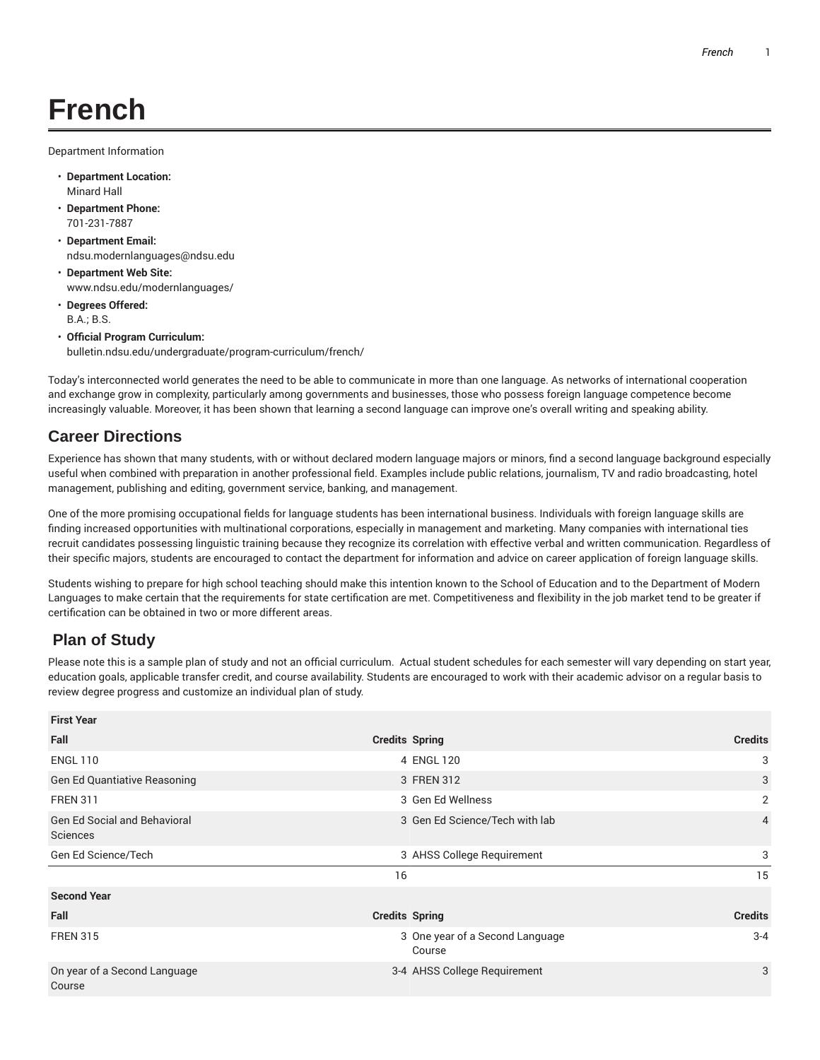## **French**

Department Information

- **Department Location:** Minard Hall
- **Department Phone:** 701-231-7887
- **Department Email:** ndsu.modernlanguages@ndsu.edu
- **Department Web Site:** www.ndsu.edu/modernlanguages/
- **Degrees Offered:** B.A.; B.S.
- **Official Program Curriculum:** bulletin.ndsu.edu/undergraduate/program-curriculum/french/

Today's interconnected world generates the need to be able to communicate in more than one language. As networks of international cooperation and exchange grow in complexity, particularly among governments and businesses, those who possess foreign language competence become increasingly valuable. Moreover, it has been shown that learning a second language can improve one's overall writing and speaking ability.

## **Career Directions**

Experience has shown that many students, with or without declared modern language majors or minors, find a second language background especially useful when combined with preparation in another professional field. Examples include public relations, journalism, TV and radio broadcasting, hotel management, publishing and editing, government service, banking, and management.

One of the more promising occupational fields for language students has been international business. Individuals with foreign language skills are finding increased opportunities with multinational corporations, especially in management and marketing. Many companies with international ties recruit candidates possessing linguistic training because they recognize its correlation with effective verbal and written communication. Regardless of their specific majors, students are encouraged to contact the department for information and advice on career application of foreign language skills.

Students wishing to prepare for high school teaching should make this intention known to the School of Education and to the Department of Modern Languages to make certain that the requirements for state certification are met. Competitiveness and flexibility in the job market tend to be greater if certification can be obtained in two or more different areas.

## **Plan of Study**

Please note this is a sample plan of study and not an official curriculum. Actual student schedules for each semester will vary depending on start year, education goals, applicable transfer credit, and course availability. Students are encouraged to work with their academic advisor on a regular basis to review degree progress and customize an individual plan of study.

| <b>First Year</b>                               |                                           |                |
|-------------------------------------------------|-------------------------------------------|----------------|
| Fall                                            | <b>Credits Spring</b><br><b>Credits</b>   |                |
| <b>ENGL 110</b>                                 | 4 ENGL 120                                | 3              |
| <b>Gen Ed Quantiative Reasoning</b>             | 3 FREN 312                                | 3              |
| <b>FREN 311</b>                                 | 3 Gen Ed Wellness                         | $\overline{2}$ |
| <b>Gen Ed Social and Behavioral</b><br>Sciences | 3 Gen Ed Science/Tech with lab            | $\overline{4}$ |
| Gen Ed Science/Tech                             | 3 AHSS College Requirement                | 3              |
| 16                                              |                                           | 15             |
| <b>Second Year</b>                              |                                           |                |
| Fall                                            | <b>Credits Spring</b><br><b>Credits</b>   |                |
| <b>FREN 315</b>                                 | 3 One year of a Second Language<br>Course | $3 - 4$        |
| On year of a Second Language<br>Course          | 3-4 AHSS College Requirement              | 3              |